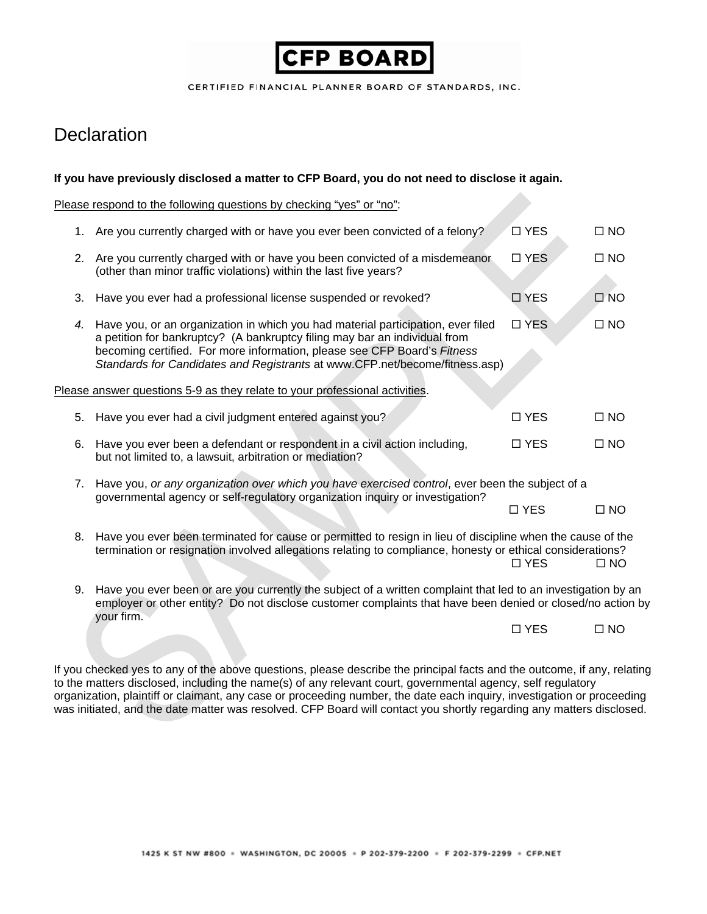# **CFP BOARD**

CERTIFIED FINANCIAL PLANNER BOARD OF STANDARDS, INC.

# **Declaration**

#### **If you have previously disclosed a matter to CFP Board, you do not need to disclose it again.**

Please respond to the following questions by checking "yes" or "no":

|                                                                             |    | 1. Are you currently charged with or have you ever been convicted of a felony?                                                                                                                                                                                                                                            | $\Box$ YES    | $\square$ NO |
|-----------------------------------------------------------------------------|----|---------------------------------------------------------------------------------------------------------------------------------------------------------------------------------------------------------------------------------------------------------------------------------------------------------------------------|---------------|--------------|
|                                                                             |    | 2. Are you currently charged with or have you been convicted of a misdemeanor<br>(other than minor traffic violations) within the last five years?                                                                                                                                                                        | □ YES         | $\square$ NO |
|                                                                             | 3. | Have you ever had a professional license suspended or revoked?                                                                                                                                                                                                                                                            | □ YES         | $\square$ NO |
|                                                                             | 4. | Have you, or an organization in which you had material participation, ever filed<br>a petition for bankruptcy? (A bankruptcy filing may bar an individual from<br>becoming certified. For more information, please see CFP Board's Fitness<br>Standards for Candidates and Registrants at www.CFP.net/become/fitness.asp) | □ YES         | $\square$ NO |
| Please answer questions 5-9 as they relate to your professional activities. |    |                                                                                                                                                                                                                                                                                                                           |               |              |
|                                                                             | 5. | Have you ever had a civil judgment entered against you?                                                                                                                                                                                                                                                                   | $\Box$ YES    | $\Box$ NO    |
|                                                                             | 6. | Have you ever been a defendant or respondent in a civil action including,<br>but not limited to, a lawsuit, arbitration or mediation?                                                                                                                                                                                     | $\Box$ YES    | $\square$ NO |
|                                                                             |    | 7. Have you, or any organization over which you have exercised control, ever been the subject of a<br>governmental agency or self-regulatory organization inquiry or investigation?                                                                                                                                       |               |              |
|                                                                             |    |                                                                                                                                                                                                                                                                                                                           | □ YES         | $\square$ NO |
|                                                                             |    | 8. Have you ever been terminated for cause or permitted to resign in lieu of discipline when the cause of the<br>termination or resignation involved allegations relating to compliance, honesty or ethical considerations?                                                                                               | $\Box$ YES    | $\Box$ NO    |
|                                                                             | 9. | Have you ever been or are you currently the subject of a written complaint that led to an investigation by an<br>employer or other entity? Do not disclose customer complaints that have been denied or closed/no action by<br>your firm.                                                                                 |               |              |
|                                                                             |    |                                                                                                                                                                                                                                                                                                                           | <b>IT VEC</b> | <b>UND</b>   |

YES NO

If you checked yes to any of the above questions, please describe the principal facts and the outcome, if any, relating to the matters disclosed, including the name(s) of any relevant court, governmental agency, self regulatory organization, plaintiff or claimant, any case or proceeding number, the date each inquiry, investigation or proceeding was initiated, and the date matter was resolved. CFP Board will contact you shortly regarding any matters disclosed.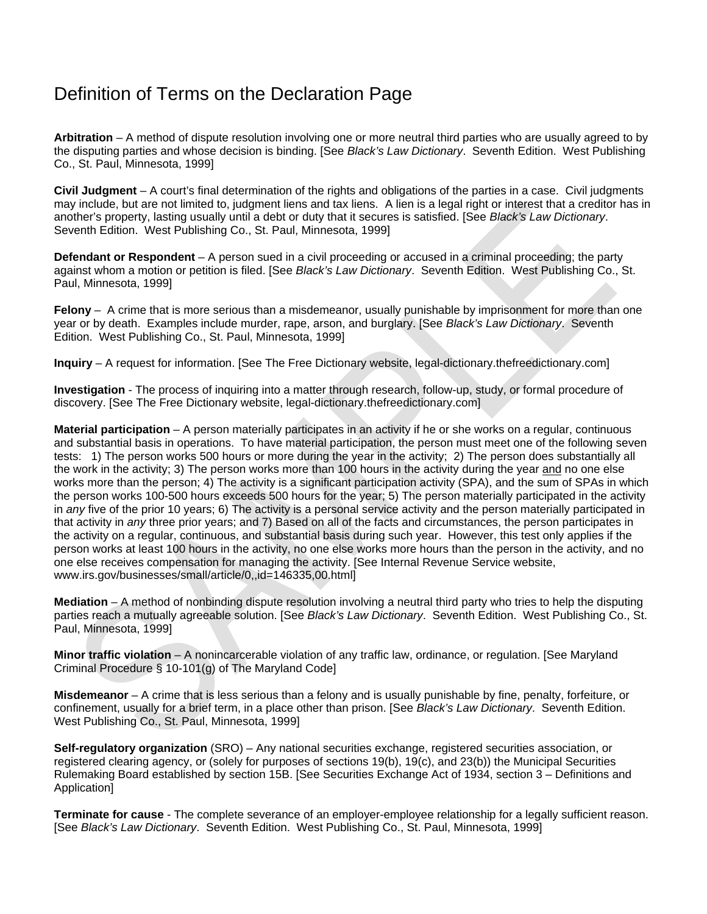### Definition of Terms on the Declaration Page

**Arbitration** – A method of dispute resolution involving one or more neutral third parties who are usually agreed to by the disputing parties and whose decision is binding. [See *Black's Law Dictionary*. Seventh Edition. West Publishing Co., St. Paul, Minnesota, 1999]

**Civil Judgment** – A court's final determination of the rights and obligations of the parties in a case. Civil judgments may include, but are not limited to, judgment liens and tax liens. A lien is a legal right or interest that a creditor has in another's property, lasting usually until a debt or duty that it secures is satisfied. [See *Black's Law Dictionary*. Seventh Edition. West Publishing Co., St. Paul, Minnesota, 1999]

**Defendant or Respondent** – A person sued in a civil proceeding or accused in a criminal proceeding; the party against whom a motion or petition is filed. [See *Black's Law Dictionary*. Seventh Edition. West Publishing Co., St. Paul, Minnesota, 1999]

**Felony** – A crime that is more serious than a misdemeanor, usually punishable by imprisonment for more than one year or by death. Examples include murder, rape, arson, and burglary. [See *Black's Law Dictionary*. Seventh Edition. West Publishing Co., St. Paul, Minnesota, 1999]

**Inquiry** – A request for information. [See The Free Dictionary website, legal-dictionary.thefreedictionary.com]

**Investigation** - The process of inquiring into a matter through research, follow-up, study, or formal procedure of discovery. [See The Free Dictionary website, legal-dictionary.thefreedictionary.com]

**Material participation** – A person materially participates in an activity if he or she works on a regular, continuous and substantial basis in operations. To have material participation, the person must meet one of the following seven tests: 1) The person works 500 hours or more during the year in the activity; 2) The person does substantially all the work in the activity; 3) The person works more than 100 hours in the activity during the year and no one else works more than the person; 4) The activity is a significant participation activity (SPA), and the sum of SPAs in which the person works 100-500 hours exceeds 500 hours for the year; 5) The person materially participated in the activity in *any* five of the prior 10 years; 6) The activity is a personal service activity and the person materially participated in that activity in *any* three prior years; and 7) Based on all of the facts and circumstances, the person participates in the activity on a regular, continuous, and substantial basis during such year. However, this test only applies if the person works at least 100 hours in the activity, no one else works more hours than the person in the activity, and no one else receives compensation for managing the activity. [See Internal Revenue Service website, www.irs.gov/businesses/small/article/0,,id=146335,00.html]

**Mediation** – A method of nonbinding dispute resolution involving a neutral third party who tries to help the disputing parties reach a mutually agreeable solution. [See *Black's Law Dictionary*. Seventh Edition. West Publishing Co., St. Paul, Minnesota, 1999]

**Minor traffic violation** – A nonincarcerable violation of any traffic law, ordinance, or regulation. [See Maryland Criminal Procedure § 10-101(g) of The Maryland Code]

**Misdemeanor** – A crime that is less serious than a felony and is usually punishable by fine, penalty, forfeiture, or confinement, usually for a brief term, in a place other than prison. [See *Black's Law Dictionary*. Seventh Edition. West Publishing Co., St. Paul, Minnesota, 1999]

**Self-regulatory organization** (SRO) – Any national securities exchange, registered securities association, or registered clearing agency, or (solely for purposes of sections 19(b), 19(c), and 23(b)) the Municipal Securities Rulemaking Board established by section 15B. [See Securities Exchange Act of 1934, section 3 – Definitions and Application]

**Terminate for cause** - The complete severance of an employer-employee relationship for a legally sufficient reason. [See *Black's Law Dictionary*. Seventh Edition. West Publishing Co., St. Paul, Minnesota, 1999]